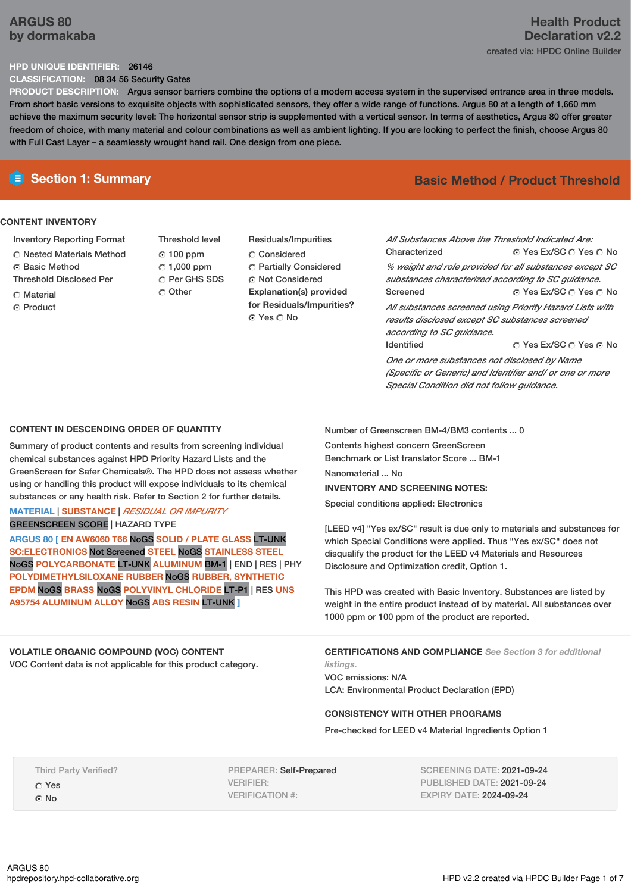# **ARGUS 80 by dormakaba**

### **HPD UNIQUE IDENTIFIER:** 26146

**CLASSIFICATION:** 08 34 56 Security Gates

**PRODUCT DESCRIPTION:** Argus sensor barriers combine the options of a modern access system in the supervised entrance area in three models. From short basic versions to exquisite objects with sophisticated sensors, they offer a wide range of functions. Argus 80 at a length of 1,660 mm achieve the maximum security level: The horizontal sensor strip is supplemented with a vertical sensor. In terms of aesthetics, Argus 80 offer greater freedom of choice, with many material and colour combinations as well as ambient lighting. If you are looking to perfect the finish, choose Argus 80 with Full Cast Layer – a seamlessly wrought hand rail. One design from one piece.

## **CONTENT INVENTORY**

- Inventory Reporting Format
- Nested Materials Method
- **6** Basic Method
- Threshold Disclosed Per
- C Material C Product
- Threshold level 100 ppm  $\degree$  1,000 ppm C Per GHS SDS Other
- Residuals/Impurities Considered Partially Considered Not Considered **Explanation(s) provided for Residuals/Impurities?** ⊙ Yes O No

# **E** Section 1: Summary **Basic Method /** Product Threshold

⊙ Yes Ex/SC  $\bigcirc$  Yes  $\bigcirc$  No ⊙ Yes Ex/SC  $\bigcirc$  Yes  $\bigcirc$  No © Yes Ex/SC C Yes © No *All Substances Above the Threshold Indicated Are:* **Characterized** *% weight and role provided for all substances except SC substances characterized according to SC guidance.* Screened *All substances screened using Priority Hazard Lists with results disclosed except SC substances screened according to SC guidance.* Identified *One or more substances not disclosed by Name (Specific or Generic) and Identifier and/ or one or more*

### **CONTENT IN DESCENDING ORDER OF QUANTITY**

Summary of product contents and results from screening individual chemical substances against HPD Priority Hazard Lists and the GreenScreen for Safer Chemicals®. The HPD does not assess whether using or handling this product will expose individuals to its chemical substances or any health risk. Refer to Section 2 for further details.

### **MATERIAL** | **SUBSTANCE** | *RESIDUAL OR IMPURITY* GREENSCREEN SCORE | HAZARD TYPE

**ARGUS 80 [ EN AW6060 T66** NoGS **SOLID / PLATE GLASS** LT-UNK **SC:ELECTRONICS** Not Screened **STEEL** NoGS **STAINLESS STEEL** NoGS **POLYCARBONATE** LT-UNK **ALUMINUM** BM-1 | END | RES | PHY **POLYDIMETHYLSILOXANE RUBBER** NoGS **RUBBER, SYNTHETIC EPDM** NoGS **BRASS** NoGS **POLYVINYL CHLORIDE** LT-P1 | RES **UNS A95754 ALUMINUM ALLOY** NoGS **ABS RESIN** LT-UNK **]**

### **VOLATILE ORGANIC COMPOUND (VOC) CONTENT**

VOC Content data is not applicable for this product category.

Number of Greenscreen BM-4/BM3 contents ... 0

Contents highest concern GreenScreen Benchmark or List translator Score ... BM-1

Nanomaterial No.

### **INVENTORY AND SCREENING NOTES:**

Special conditions applied: Electronics

[LEED v4] "Yes ex/SC" result is due only to materials and substances for which Special Conditions were applied. Thus "Yes ex/SC" does not disqualify the product for the LEED v4 Materials and Resources Disclosure and Optimization credit, Option 1.

*Special Condition did not follow guidance.*

This HPD was created with Basic Inventory. Substances are listed by weight in the entire product instead of by material. All substances over 1000 ppm or 100 ppm of the product are reported.

**CERTIFICATIONS AND COMPLIANCE** *See Section 3 for additional listings.*

VOC emissions: N/A LCA: Environmental Product Declaration (EPD)

### **CONSISTENCY WITH OTHER PROGRAMS**

Pre-checked for LEED v4 Material Ingredients Option 1

Third Party Verified? Yes

G No

PREPARER: Self-Prepared VERIFIER: VERIFICATION #:

SCREENING DATE: 2021-09-24 PUBLISHED DATE: 2021-09-24 EXPIRY DATE: 2024-09-24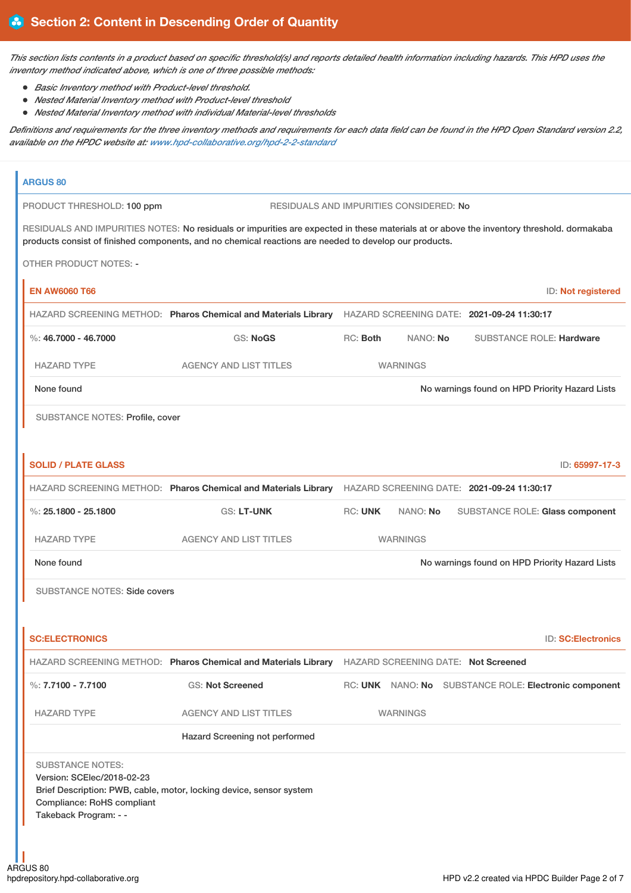This section lists contents in a product based on specific threshold(s) and reports detailed health information including hazards. This HPD uses the *inventory method indicated above, which is one of three possible methods:*

- *Basic Inventory method with Product-level threshold.*
- *Nested Material Inventory method with Product-level threshold*
- *Nested Material Inventory method with individual Material-level thresholds*

Definitions and requirements for the three inventory methods and requirements for each data field can be found in the HPD Open Standard version 2.2, *available on the HPDC website at: [www.hpd-collaborative.org/hpd-2-2-standard](https://www.hpd-collaborative.org/hpd-2-2-standard)*

# **ARGUS 80** PRODUCT THRESHOLD: 100 ppm RESIDUALS AND IMPURITIES CONSIDERED: No RESIDUALS AND IMPURITIES NOTES: No residuals or impurities are expected in these materials at or above the inventory threshold. dormakaba products consist of finished components, and no chemical reactions are needed to develop our products. OTHER PRODUCT NOTES: - **EN AW6060 T66** ID: **Not registered** HAZARD SCREENING METHOD: **Pharos Chemical and Materials Library** HAZARD SCREENING DATE: **2021-09-24 11:30:17** %: **46.7000 - 46.7000** GS: **NoGS** RC: **Both** NANO: **No** SUBSTANCE ROLE: **Hardware** HAZARD TYPE AGENCY AND LIST TITLES WARNINGS None found Now the Priority Hazard Lists **Now the Internal Control on HPD Priority Hazard Lists** Now and The Priority Hazard Lists SUBSTANCE NOTES: Profile, cover **SOLID / PLATE GLASS** ID: **65997-17-3** HAZARD SCREENING METHOD: **Pharos Chemical and Materials Library** HAZARD SCREENING DATE: **2021-09-24 11:30:17** %: **25.1800 - 25.1800** GS: **LT-UNK** RC: **UNK** NANO: **No** SUBSTANCE ROLE: **Glass component** HAZARD TYPE AGENCY AND LIST TITLES WARNINGS None found Now the Priority Hazard Lists of the Mone found on HPD Priority Hazard Lists SUBSTANCE NOTES: Side covers **SC:ELECTRONICS** ID: **SC:Electronics** HAZARD SCREENING METHOD: **Pharos Chemical and Materials Library** HAZARD SCREENING DATE: **Not Screened** %: **7.7100 - 7.7100** GS: **Not Screened** RC: **UNK** NANO: **No** SUBSTANCE ROLE: **Electronic component** HAZARD TYPE AGENCY AND LIST TITLES WARNINGS Hazard Screening not performed SUBSTANCE NOTES: Version: SCElec/2018-02-23 Brief Description: PWB, cable, motor, locking device, sensor system Compliance: RoHS compliant Takeback Program: - -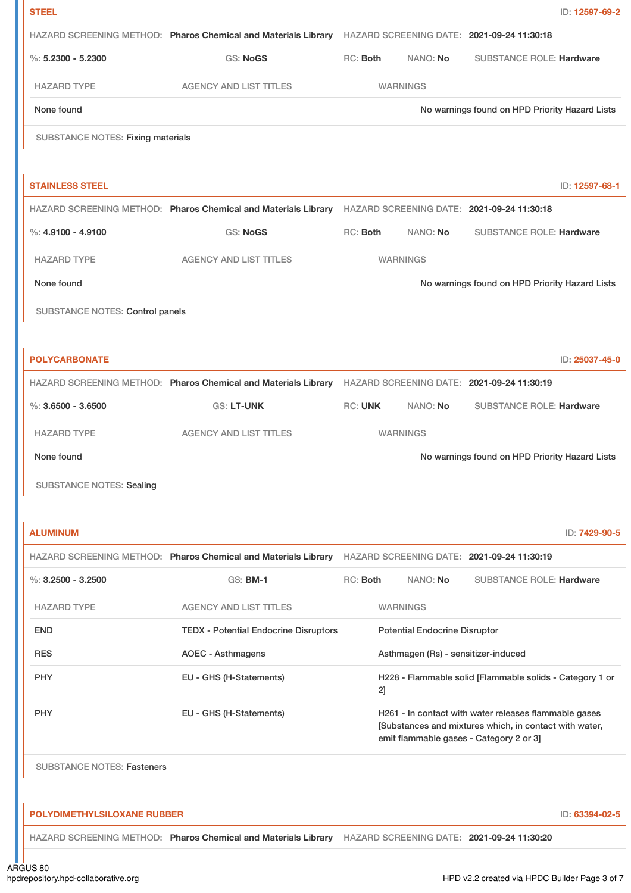| <b>STEEL</b>                             |                                                                                                           |                |                                      |                                                                                                                                                            | ID: 12597-69-2 |
|------------------------------------------|-----------------------------------------------------------------------------------------------------------|----------------|--------------------------------------|------------------------------------------------------------------------------------------------------------------------------------------------------------|----------------|
|                                          | HAZARD SCREENING METHOD: Pharos Chemical and Materials Library                                            |                |                                      | HAZARD SCREENING DATE: 2021-09-24 11:30:18                                                                                                                 |                |
| %: $5.2300 - 5.2300$                     | <b>GS: NoGS</b>                                                                                           | RC: Both       | NANO: No                             | <b>SUBSTANCE ROLE: Hardware</b>                                                                                                                            |                |
| <b>HAZARD TYPE</b>                       | <b>AGENCY AND LIST TITLES</b>                                                                             |                | <b>WARNINGS</b>                      |                                                                                                                                                            |                |
| None found                               |                                                                                                           |                |                                      | No warnings found on HPD Priority Hazard Lists                                                                                                             |                |
| <b>SUBSTANCE NOTES: Fixing materials</b> |                                                                                                           |                |                                      |                                                                                                                                                            |                |
|                                          |                                                                                                           |                |                                      |                                                                                                                                                            |                |
| <b>STAINLESS STEEL</b>                   |                                                                                                           |                |                                      |                                                                                                                                                            | ID: 12597-68-1 |
|                                          | HAZARD SCREENING METHOD: Pharos Chemical and Materials Library HAZARD SCREENING DATE: 2021-09-24 11:30:18 |                |                                      |                                                                                                                                                            |                |
| $\%$ : 4.9100 - 4.9100                   | <b>GS: NoGS</b>                                                                                           | RC: Both       | NANO: No                             | <b>SUBSTANCE ROLE: Hardware</b>                                                                                                                            |                |
| <b>HAZARD TYPE</b>                       | <b>AGENCY AND LIST TITLES</b>                                                                             |                | <b>WARNINGS</b>                      |                                                                                                                                                            |                |
| None found                               |                                                                                                           |                |                                      | No warnings found on HPD Priority Hazard Lists                                                                                                             |                |
| SUBSTANCE NOTES: Control panels          |                                                                                                           |                |                                      |                                                                                                                                                            |                |
|                                          |                                                                                                           |                |                                      |                                                                                                                                                            |                |
| <b>POLYCARBONATE</b>                     |                                                                                                           |                |                                      |                                                                                                                                                            | ID: 25037-45-0 |
|                                          | HAZARD SCREENING METHOD: Pharos Chemical and Materials Library                                            |                |                                      | HAZARD SCREENING DATE: 2021-09-24 11:30:19                                                                                                                 |                |
| $\%$ : 3.6500 - 3.6500                   | <b>GS: LT-UNK</b>                                                                                         | <b>RC: UNK</b> | NANO: No                             | <b>SUBSTANCE ROLE: Hardware</b>                                                                                                                            |                |
| <b>HAZARD TYPE</b>                       | <b>AGENCY AND LIST TITLES</b>                                                                             |                | <b>WARNINGS</b>                      |                                                                                                                                                            |                |
| None found                               |                                                                                                           |                |                                      | No warnings found on HPD Priority Hazard Lists                                                                                                             |                |
| <b>SUBSTANCE NOTES: Sealing</b>          |                                                                                                           |                |                                      |                                                                                                                                                            |                |
|                                          |                                                                                                           |                |                                      |                                                                                                                                                            |                |
| <b>ALUMINUM</b>                          |                                                                                                           |                |                                      |                                                                                                                                                            | ID: 7429-90-5  |
|                                          | HAZARD SCREENING METHOD: Pharos Chemical and Materials Library                                            |                |                                      | HAZARD SCREENING DATE: 2021-09-24 11:30:19                                                                                                                 |                |
| $\%$ : 3.2500 - 3.2500                   | <b>GS: BM-1</b>                                                                                           | RC: Both       | NANO: No                             | <b>SUBSTANCE ROLE: Hardware</b>                                                                                                                            |                |
| <b>HAZARD TYPE</b>                       | <b>AGENCY AND LIST TITLES</b>                                                                             |                | <b>WARNINGS</b>                      |                                                                                                                                                            |                |
| <b>END</b>                               | <b>TEDX - Potential Endocrine Disruptors</b>                                                              |                | <b>Potential Endocrine Disruptor</b> |                                                                                                                                                            |                |
| <b>RES</b>                               | <b>AOEC - Asthmagens</b>                                                                                  |                | Asthmagen (Rs) - sensitizer-induced  |                                                                                                                                                            |                |
| <b>PHY</b>                               | EU - GHS (H-Statements)                                                                                   | 2]             |                                      | H228 - Flammable solid [Flammable solids - Category 1 or                                                                                                   |                |
| PHY                                      | EU - GHS (H-Statements)                                                                                   |                |                                      | H261 - In contact with water releases flammable gases<br>[Substances and mixtures which, in contact with water,<br>emit flammable gases - Category 2 or 3] |                |
| <b>SUBSTANCE NOTES: Fasteners</b>        |                                                                                                           |                |                                      |                                                                                                                                                            |                |
|                                          |                                                                                                           |                |                                      |                                                                                                                                                            |                |
| <b>POLYDIMETHYLSILOXANE RUBBER</b>       |                                                                                                           |                |                                      |                                                                                                                                                            | ID: 63394-02-5 |
|                                          | HAZARD SCREENING METHOD: Pharos Chemical and Materials Library HAZARD SCREENING DATE: 2021-09-24 11:30:20 |                |                                      |                                                                                                                                                            |                |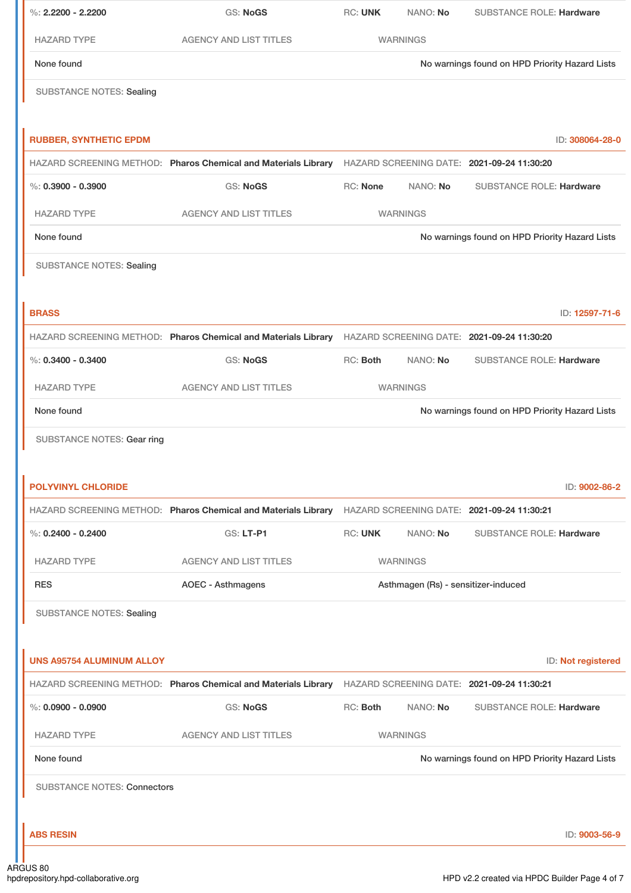| %: $2.2200 - 2.2200$               | <b>GS: NoGS</b>                                                                                           | <b>RC: UNK</b>                                 | NANO: No                            | <b>SUBSTANCE ROLE: Hardware</b>                |
|------------------------------------|-----------------------------------------------------------------------------------------------------------|------------------------------------------------|-------------------------------------|------------------------------------------------|
| <b>HAZARD TYPE</b>                 | <b>AGENCY AND LIST TITLES</b>                                                                             |                                                | <b>WARNINGS</b>                     |                                                |
| None found                         |                                                                                                           |                                                |                                     | No warnings found on HPD Priority Hazard Lists |
| <b>SUBSTANCE NOTES: Sealing</b>    |                                                                                                           |                                                |                                     |                                                |
| <b>RUBBER, SYNTHETIC EPDM</b>      |                                                                                                           |                                                |                                     | ID: 308064-28-0                                |
|                                    | HAZARD SCREENING METHOD: Pharos Chemical and Materials Library HAZARD SCREENING DATE: 2021-09-24 11:30:20 |                                                |                                     |                                                |
| $\%$ : 0.3900 - 0.3900             | <b>GS: NoGS</b>                                                                                           | RC: None                                       | NANO: No                            | <b>SUBSTANCE ROLE: Hardware</b>                |
| <b>HAZARD TYPE</b>                 | <b>AGENCY AND LIST TITLES</b>                                                                             |                                                | <b>WARNINGS</b>                     |                                                |
| None found                         |                                                                                                           | No warnings found on HPD Priority Hazard Lists |                                     |                                                |
| <b>SUBSTANCE NOTES: Sealing</b>    |                                                                                                           |                                                |                                     |                                                |
| <b>BRASS</b>                       |                                                                                                           |                                                |                                     | ID: 12597-71-6                                 |
|                                    | HAZARD SCREENING METHOD: Pharos Chemical and Materials Library HAZARD SCREENING DATE: 2021-09-24 11:30:20 |                                                |                                     |                                                |
| $\%$ : 0.3400 - 0.3400             | <b>GS: NoGS</b>                                                                                           | RC: Both                                       | NANO: No                            | <b>SUBSTANCE ROLE: Hardware</b>                |
| <b>HAZARD TYPE</b>                 | <b>AGENCY AND LIST TITLES</b>                                                                             |                                                | <b>WARNINGS</b>                     |                                                |
| None found                         |                                                                                                           |                                                |                                     | No warnings found on HPD Priority Hazard Lists |
| <b>POLYVINYL CHLORIDE</b>          |                                                                                                           |                                                |                                     | ID: 9002-86-2                                  |
|                                    | HAZARD SCREENING METHOD: Pharos Chemical and Materials Library HAZARD SCREENING DATE: 2021-09-24 11:30:21 |                                                |                                     |                                                |
| $\%$ : 0.2400 - 0.2400             | GS: LT-P1                                                                                                 | <b>RC: UNK</b>                                 | NANO: No                            | <b>SUBSTANCE ROLE: Hardware</b>                |
| <b>HAZARD TYPE</b>                 | <b>AGENCY AND LIST TITLES</b>                                                                             |                                                | <b>WARNINGS</b>                     |                                                |
| <b>RES</b>                         | <b>AOEC - Asthmagens</b>                                                                                  |                                                | Asthmagen (Rs) - sensitizer-induced |                                                |
| <b>SUBSTANCE NOTES: Sealing</b>    |                                                                                                           |                                                |                                     |                                                |
| <b>UNS A95754 ALUMINUM ALLOY</b>   |                                                                                                           |                                                |                                     | ID: Not registered                             |
|                                    | HAZARD SCREENING METHOD: Pharos Chemical and Materials Library                                            |                                                |                                     | HAZARD SCREENING DATE: 2021-09-24 11:30:21     |
| $\%$ : 0.0900 - 0.0900             | <b>GS: NoGS</b>                                                                                           | RC: Both                                       | NANO: No                            | <b>SUBSTANCE ROLE: Hardware</b>                |
| <b>HAZARD TYPE</b>                 | <b>AGENCY AND LIST TITLES</b>                                                                             |                                                | <b>WARNINGS</b>                     |                                                |
| None found                         |                                                                                                           |                                                |                                     | No warnings found on HPD Priority Hazard Lists |
| <b>SUBSTANCE NOTES: Connectors</b> |                                                                                                           |                                                |                                     |                                                |
| <b>ABS RESIN</b>                   |                                                                                                           |                                                |                                     | ID: 9003-56-9                                  |
| <b>GUS 80</b>                      |                                                                                                           |                                                |                                     |                                                |

. In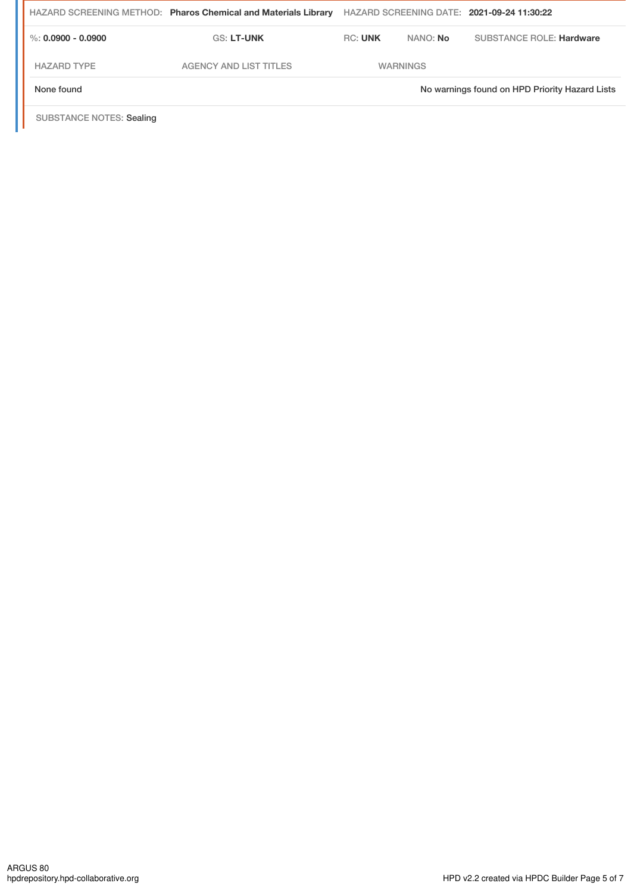|                      | HAZARD SCREENING METHOD: Pharos Chemical and Materials Library |                |                 | HAZARD SCREENING DATE: 2021-09-24 11:30:22     |
|----------------------|----------------------------------------------------------------|----------------|-----------------|------------------------------------------------|
| %: $0.0900 - 0.0900$ | <b>GS: LT-UNK</b>                                              | <b>RC: UNK</b> | NANO: No        | <b>SUBSTANCE ROLE: Hardware</b>                |
| <b>HAZARD TYPE</b>   | <b>AGENCY AND LIST TITLES</b>                                  |                | <b>WARNINGS</b> |                                                |
| None found           |                                                                |                |                 | No warnings found on HPD Priority Hazard Lists |

SUBSTANCE NOTES: Sealing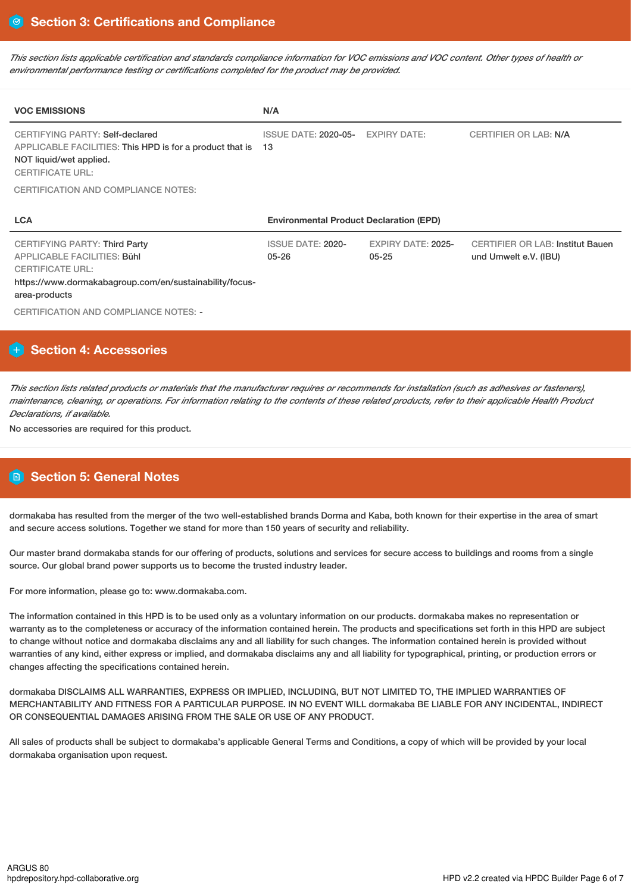This section lists applicable certification and standards compliance information for VOC emissions and VOC content. Other types of health or *environmental performance testing or certifications completed for the product may be provided.*

| <b>VOC EMISSIONS</b>                                                                                                                                                              | N/A                                            |                                        |                                                                  |  |
|-----------------------------------------------------------------------------------------------------------------------------------------------------------------------------------|------------------------------------------------|----------------------------------------|------------------------------------------------------------------|--|
| CERTIFYING PARTY: Self-declared<br>APPLICABLE FACILITIES: This HPD is for a product that is<br>NOT liquid/wet applied.<br><b>CERTIFICATE URL:</b>                                 | <b>ISSUE DATE: 2020-05-</b><br>13              | <b>EXPIRY DATE:</b>                    | <b>CERTIFIER OR LAB: N/A</b>                                     |  |
| CERTIFICATION AND COMPLIANCE NOTES:                                                                                                                                               |                                                |                                        |                                                                  |  |
|                                                                                                                                                                                   | <b>Environmental Product Declaration (EPD)</b> |                                        |                                                                  |  |
| <b>LCA</b>                                                                                                                                                                        |                                                |                                        |                                                                  |  |
| <b>CERTIFYING PARTY: Third Party</b><br><b>APPLICABLE FACILITIES: Bühl</b><br><b>CERTIFICATE URL:</b><br>https://www.dormakabagroup.com/en/sustainability/focus-<br>area-products | <b>ISSUE DATE: 2020-</b><br>$05 - 26$          | <b>EXPIRY DATE: 2025-</b><br>$05 - 25$ | <b>CERTIFIER OR LAB: Institut Bauen</b><br>und Umwelt e.V. (IBU) |  |

# **Section 4: Accessories**

This section lists related products or materials that the manufacturer requires or recommends for installation (such as adhesives or fasteners), maintenance, cleaning, or operations. For information relating to the contents of these related products, refer to their applicable Health Product *Declarations, if available.*

No accessories are required for this product.

# **Section 5: General Notes**

dormakaba has resulted from the merger of the two well-established brands Dorma and Kaba, both known for their expertise in the area of smart and secure access solutions. Together we stand for more than 150 years of security and reliability.

Our master brand dormakaba stands for our offering of products, solutions and services for secure access to buildings and rooms from a single source. Our global brand power supports us to become the trusted industry leader.

For more information, please go to: www.dormakaba.com.

The information contained in this HPD is to be used only as a voluntary information on our products. dormakaba makes no representation or warranty as to the completeness or accuracy of the information contained herein. The products and specifications set forth in this HPD are subject to change without notice and dormakaba disclaims any and all liability for such changes. The information contained herein is provided without warranties of any kind, either express or implied, and dormakaba disclaims any and all liability for typographical, printing, or production errors or changes affecting the specifications contained herein.

dormakaba DISCLAIMS ALL WARRANTIES, EXPRESS OR IMPLIED, INCLUDING, BUT NOT LIMITED TO, THE IMPLIED WARRANTIES OF MERCHANTABILITY AND FITNESS FOR A PARTICULAR PURPOSE. IN NO EVENT WILL dormakaba BE LIABLE FOR ANY INCIDENTAL, INDIRECT OR CONSEQUENTIAL DAMAGES ARISING FROM THE SALE OR USE OF ANY PRODUCT.

All sales of products shall be subject to dormakaba's applicable General Terms and Conditions, a copy of which will be provided by your local dormakaba organisation upon request.